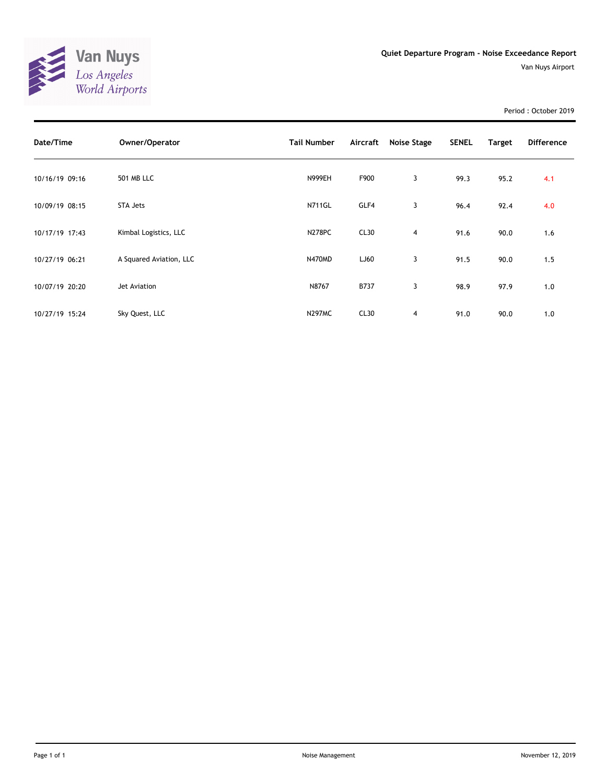

Period : October 2019

| Date/Time      | Owner/Operator          | <b>Tail Number</b> | Aircraft | Noise Stage    | <b>SENEL</b> | Target | <b>Difference</b> |
|----------------|-------------------------|--------------------|----------|----------------|--------------|--------|-------------------|
| 10/16/19 09:16 | <b>501 MB LLC</b>       | <b>N999EH</b>      | F900     | 3              | 99.3         | 95.2   | 4.1               |
| 10/09/19 08:15 | STA Jets                | <b>N711GL</b>      | GLF4     | 3              | 96.4         | 92.4   | 4.0               |
| 10/17/19 17:43 | Kimbal Logistics, LLC   | <b>N278PC</b>      | CL30     | $\overline{4}$ | 91.6         | 90.0   | 1.6               |
| 10/27/19 06:21 | A Squared Aviation, LLC | <b>N470MD</b>      | LJ60     | 3              | 91.5         | 90.0   | 1.5               |
| 10/07/19 20:20 | Jet Aviation            | N8767              | B737     | 3              | 98.9         | 97.9   | 1.0               |
| 10/27/19 15:24 | Sky Quest, LLC          | <b>N297MC</b>      | CL30     | 4              | 91.0         | 90.0   | 1.0               |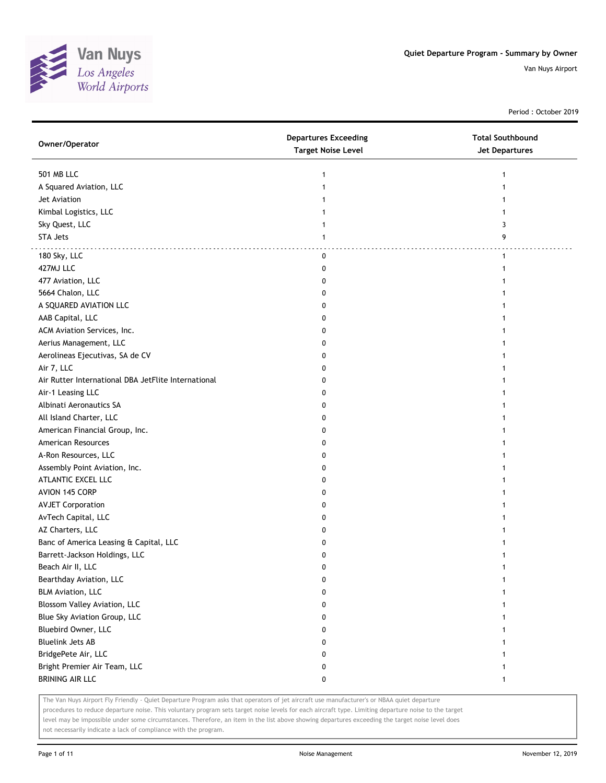

Period : October 2019

| Owner/Operator                                      | <b>Departures Exceeding</b><br><b>Target Noise Level</b> | <b>Total Southbound</b><br><b>Jet Departures</b> |
|-----------------------------------------------------|----------------------------------------------------------|--------------------------------------------------|
| <b>501 MB LLC</b>                                   | 1                                                        | 1                                                |
| A Squared Aviation, LLC                             | 1                                                        |                                                  |
| Jet Aviation                                        |                                                          |                                                  |
| Kimbal Logistics, LLC                               |                                                          |                                                  |
| Sky Quest, LLC                                      |                                                          | 3                                                |
| <b>STA Jets</b>                                     | 1                                                        | 9                                                |
| 180 Sky, LLC                                        | 0                                                        | $\mathbf{1}$                                     |
| 427MJ LLC                                           | 0                                                        | 1                                                |
| 477 Aviation, LLC                                   | 0                                                        |                                                  |
| 5664 Chalon, LLC                                    | 0                                                        |                                                  |
| A SQUARED AVIATION LLC                              | 0                                                        |                                                  |
| AAB Capital, LLC                                    | 0                                                        |                                                  |
| ACM Aviation Services, Inc.                         | 0                                                        |                                                  |
| Aerius Management, LLC                              | 0                                                        |                                                  |
| Aerolineas Ejecutivas, SA de CV                     | 0                                                        |                                                  |
| Air 7, LLC                                          | 0                                                        |                                                  |
| Air Rutter International DBA JetFlite International | 0                                                        |                                                  |
| Air-1 Leasing LLC                                   | 0                                                        |                                                  |
| Albinati Aeronautics SA                             | 0                                                        |                                                  |
| All Island Charter, LLC                             | 0                                                        |                                                  |
| American Financial Group, Inc.                      | 0                                                        |                                                  |
| American Resources                                  | 0                                                        |                                                  |
| A-Ron Resources, LLC                                | 0                                                        |                                                  |
| Assembly Point Aviation, Inc.                       | 0                                                        |                                                  |
| ATLANTIC EXCEL LLC                                  | 0                                                        |                                                  |
| AVION 145 CORP                                      | 0                                                        |                                                  |
| <b>AVJET Corporation</b>                            | 0                                                        |                                                  |
| AvTech Capital, LLC                                 | 0                                                        |                                                  |
| AZ Charters, LLC                                    | 0                                                        |                                                  |
| Banc of America Leasing & Capital, LLC              | 0                                                        |                                                  |
| Barrett-Jackson Holdings, LLC                       | 0                                                        |                                                  |
| Beach Air II, LLC                                   | $\mathbf{0}$                                             | 1                                                |
| Bearthday Aviation, LLC                             | 0                                                        | 1                                                |
| <b>BLM Aviation, LLC</b>                            | 0                                                        |                                                  |
| Blossom Valley Aviation, LLC                        | 0                                                        |                                                  |
| Blue Sky Aviation Group, LLC                        | 0                                                        |                                                  |
| Bluebird Owner, LLC                                 | 0                                                        |                                                  |
| <b>Bluelink Jets AB</b>                             | 0                                                        |                                                  |
| BridgePete Air, LLC                                 | 0                                                        |                                                  |
| Bright Premier Air Team, LLC                        | 0                                                        |                                                  |
| <b>BRINING AIR LLC</b>                              | 0                                                        | 1                                                |

The Van Nuys Airport Fly Friendly - Quiet Departure Program asks that operators of jet aircraft use manufacturer's or NBAA quiet departure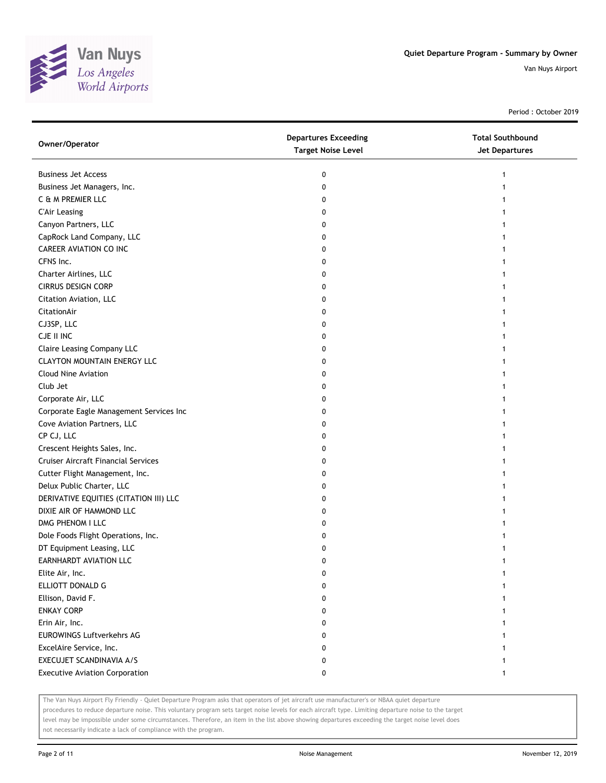

Period : October 2019

| Owner/Operator                             | <b>Departures Exceeding</b><br><b>Target Noise Level</b> | <b>Total Southbound</b><br><b>Jet Departures</b> |
|--------------------------------------------|----------------------------------------------------------|--------------------------------------------------|
| <b>Business Jet Access</b>                 | 0                                                        | 1                                                |
| Business Jet Managers, Inc.                | 0                                                        |                                                  |
| C & M PREMIER LLC                          | 0                                                        |                                                  |
| <b>C'Air Leasing</b>                       | 0                                                        |                                                  |
| Canyon Partners, LLC                       | 0                                                        |                                                  |
| CapRock Land Company, LLC                  | 0                                                        |                                                  |
| <b>CAREER AVIATION CO INC</b>              | 0                                                        |                                                  |
| CFNS Inc.                                  | 0                                                        |                                                  |
| Charter Airlines, LLC                      | 0                                                        |                                                  |
| <b>CIRRUS DESIGN CORP</b>                  | 0                                                        |                                                  |
| Citation Aviation, LLC                     | 0                                                        |                                                  |
| CitationAir                                | 0                                                        |                                                  |
| CJ3SP, LLC                                 | 0                                                        |                                                  |
| CJE II INC                                 | 0                                                        |                                                  |
| <b>Claire Leasing Company LLC</b>          | 0                                                        |                                                  |
| <b>CLAYTON MOUNTAIN ENERGY LLC</b>         | 0                                                        |                                                  |
| <b>Cloud Nine Aviation</b>                 | 0                                                        |                                                  |
| Club Jet                                   | 0                                                        |                                                  |
| Corporate Air, LLC                         | 0                                                        |                                                  |
| Corporate Eagle Management Services Inc    | 0                                                        |                                                  |
| Cove Aviation Partners, LLC                | 0                                                        |                                                  |
| CP CJ, LLC                                 | 0                                                        |                                                  |
| Crescent Heights Sales, Inc.               | 0                                                        |                                                  |
| <b>Cruiser Aircraft Financial Services</b> | 0                                                        |                                                  |
| Cutter Flight Management, Inc.             | 0                                                        |                                                  |
| Delux Public Charter, LLC                  | 0                                                        |                                                  |
| DERIVATIVE EQUITIES (CITATION III) LLC     | 0                                                        |                                                  |
| DIXIE AIR OF HAMMOND LLC                   | 0                                                        |                                                  |
| DMG PHENOM I LLC                           | 0                                                        |                                                  |
| Dole Foods Flight Operations, Inc.         | 0                                                        |                                                  |
| DT Equipment Leasing, LLC                  | 0                                                        |                                                  |
| EARNHARDT AVIATION LLC                     | 0                                                        |                                                  |
| Elite Air, Inc.                            | 0                                                        |                                                  |
| ELLIOTT DONALD G                           | 0                                                        |                                                  |
| Ellison, David F.                          | 0                                                        |                                                  |
| <b>ENKAY CORP</b>                          | 0                                                        |                                                  |
| Erin Air, Inc.                             | 0                                                        |                                                  |
| EUROWINGS Luftverkehrs AG                  | 0                                                        |                                                  |
| ExcelAire Service, Inc.                    | 0                                                        |                                                  |
| EXECUJET SCANDINAVIA A/S                   | 0                                                        |                                                  |
| <b>Executive Aviation Corporation</b>      | 0                                                        | 1                                                |

The Van Nuys Airport Fly Friendly - Quiet Departure Program asks that operators of jet aircraft use manufacturer's or NBAA quiet departure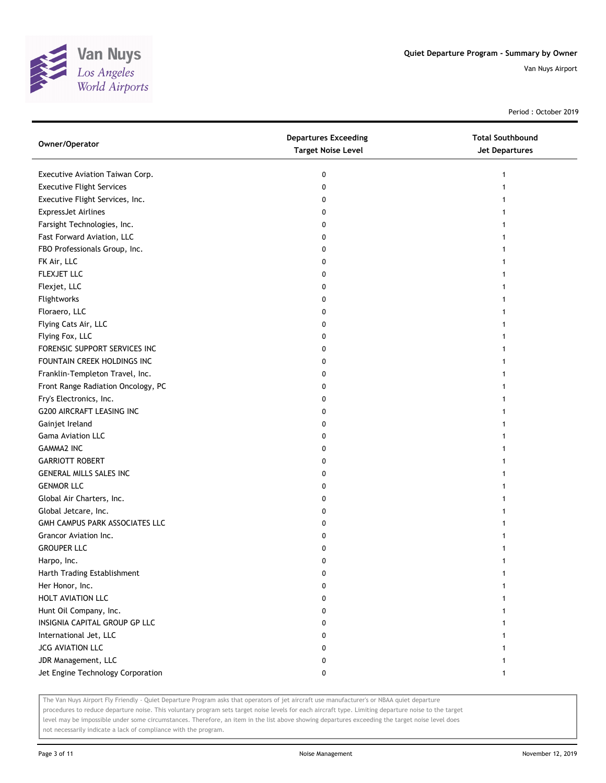

Period : October 2019

| Owner/Operator                     | <b>Departures Exceeding</b><br><b>Target Noise Level</b> | <b>Total Southbound</b><br>Jet Departures |
|------------------------------------|----------------------------------------------------------|-------------------------------------------|
| Executive Aviation Taiwan Corp.    | 0                                                        | 1                                         |
| <b>Executive Flight Services</b>   | 0                                                        |                                           |
| Executive Flight Services, Inc.    | 0                                                        |                                           |
| <b>ExpressJet Airlines</b>         | 0                                                        |                                           |
| Farsight Technologies, Inc.        | 0                                                        |                                           |
| Fast Forward Aviation, LLC         | 0                                                        | 1                                         |
| FBO Professionals Group, Inc.      | 0                                                        |                                           |
| FK Air, LLC                        | 0                                                        |                                           |
| FLEXJET LLC                        | 0                                                        |                                           |
| Flexjet, LLC                       | 0                                                        |                                           |
| Flightworks                        | 0                                                        |                                           |
| Floraero, LLC                      | 0                                                        |                                           |
| Flying Cats Air, LLC               | 0                                                        |                                           |
| Flying Fox, LLC                    | 0                                                        |                                           |
| FORENSIC SUPPORT SERVICES INC      | 0                                                        |                                           |
| FOUNTAIN CREEK HOLDINGS INC        | 0                                                        |                                           |
| Franklin-Templeton Travel, Inc.    | 0                                                        |                                           |
| Front Range Radiation Oncology, PC | 0                                                        |                                           |
| Fry's Electronics, Inc.            | 0                                                        |                                           |
| G200 AIRCRAFT LEASING INC          | 0                                                        |                                           |
| Gainjet Ireland                    | 0                                                        |                                           |
| <b>Gama Aviation LLC</b>           | 0                                                        |                                           |
| <b>GAMMA2 INC</b>                  | 0                                                        |                                           |
| <b>GARRIOTT ROBERT</b>             | 0                                                        |                                           |
| <b>GENERAL MILLS SALES INC</b>     | 0                                                        |                                           |
| <b>GENMOR LLC</b>                  | 0                                                        | 1                                         |
| Global Air Charters, Inc.          | 0                                                        |                                           |
| Global Jetcare, Inc.               | 0                                                        |                                           |
| GMH CAMPUS PARK ASSOCIATES LLC     | 0                                                        |                                           |
| Grancor Aviation Inc.              | 0                                                        |                                           |
| <b>GROUPER LLC</b>                 | 0                                                        |                                           |
| Harpo, Inc.                        | 0                                                        |                                           |
| Harth Trading Establishment        | 0                                                        |                                           |
| Her Honor, Inc.                    | 0                                                        |                                           |
| HOLT AVIATION LLC                  | 0                                                        |                                           |
| Hunt Oil Company, Inc.             | 0                                                        |                                           |
| INSIGNIA CAPITAL GROUP GP LLC      | 0                                                        |                                           |
| International Jet, LLC             | 0                                                        |                                           |
| JCG AVIATION LLC                   | 0                                                        |                                           |
| JDR Management, LLC                | 0                                                        |                                           |
| Jet Engine Technology Corporation  | 0                                                        | $\mathbf{1}$                              |

The Van Nuys Airport Fly Friendly - Quiet Departure Program asks that operators of jet aircraft use manufacturer's or NBAA quiet departure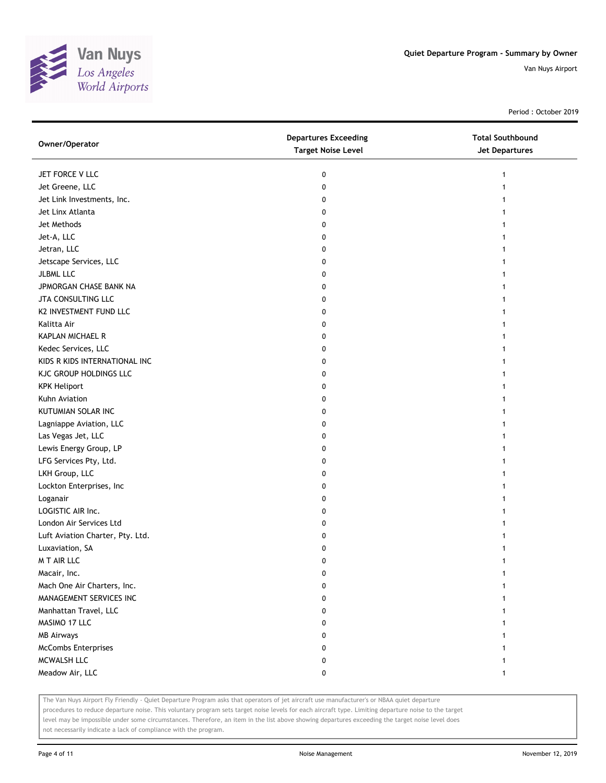

Period : October 2019

| JET FORCE V LLC<br>0<br>1<br>Jet Greene, LLC<br>0<br>Jet Link Investments, Inc.<br>0<br>Jet Linx Atlanta<br>0<br>Jet Methods<br>0<br>1<br>Jet-A, LLC<br>0<br>1<br>Jetran, LLC<br>0<br>Jetscape Services, LLC<br>0<br>JLBML LLC<br>0<br>JPMORGAN CHASE BANK NA<br>0<br>JTA CONSULTING LLC<br>0<br>K2 INVESTMENT FUND LLC<br>0<br>Kalitta Air<br>0<br>KAPLAN MICHAEL R<br>0<br>Kedec Services, LLC<br>0<br>1<br>KIDS R KIDS INTERNATIONAL INC<br>0<br>1<br>KJC GROUP HOLDINGS LLC<br>0<br><b>KPK Heliport</b><br>0<br>Kuhn Aviation<br>0<br>KUTUMIAN SOLAR INC<br>0<br>Lagniappe Aviation, LLC<br>0<br>Las Vegas Jet, LLC<br>0<br>Lewis Energy Group, LP<br>0 |
|-------------------------------------------------------------------------------------------------------------------------------------------------------------------------------------------------------------------------------------------------------------------------------------------------------------------------------------------------------------------------------------------------------------------------------------------------------------------------------------------------------------------------------------------------------------------------------------------------------------------------------------------------------------|
|                                                                                                                                                                                                                                                                                                                                                                                                                                                                                                                                                                                                                                                             |
|                                                                                                                                                                                                                                                                                                                                                                                                                                                                                                                                                                                                                                                             |
|                                                                                                                                                                                                                                                                                                                                                                                                                                                                                                                                                                                                                                                             |
|                                                                                                                                                                                                                                                                                                                                                                                                                                                                                                                                                                                                                                                             |
|                                                                                                                                                                                                                                                                                                                                                                                                                                                                                                                                                                                                                                                             |
|                                                                                                                                                                                                                                                                                                                                                                                                                                                                                                                                                                                                                                                             |
|                                                                                                                                                                                                                                                                                                                                                                                                                                                                                                                                                                                                                                                             |
|                                                                                                                                                                                                                                                                                                                                                                                                                                                                                                                                                                                                                                                             |
|                                                                                                                                                                                                                                                                                                                                                                                                                                                                                                                                                                                                                                                             |
|                                                                                                                                                                                                                                                                                                                                                                                                                                                                                                                                                                                                                                                             |
|                                                                                                                                                                                                                                                                                                                                                                                                                                                                                                                                                                                                                                                             |
|                                                                                                                                                                                                                                                                                                                                                                                                                                                                                                                                                                                                                                                             |
|                                                                                                                                                                                                                                                                                                                                                                                                                                                                                                                                                                                                                                                             |
|                                                                                                                                                                                                                                                                                                                                                                                                                                                                                                                                                                                                                                                             |
|                                                                                                                                                                                                                                                                                                                                                                                                                                                                                                                                                                                                                                                             |
|                                                                                                                                                                                                                                                                                                                                                                                                                                                                                                                                                                                                                                                             |
|                                                                                                                                                                                                                                                                                                                                                                                                                                                                                                                                                                                                                                                             |
|                                                                                                                                                                                                                                                                                                                                                                                                                                                                                                                                                                                                                                                             |
|                                                                                                                                                                                                                                                                                                                                                                                                                                                                                                                                                                                                                                                             |
|                                                                                                                                                                                                                                                                                                                                                                                                                                                                                                                                                                                                                                                             |
|                                                                                                                                                                                                                                                                                                                                                                                                                                                                                                                                                                                                                                                             |
|                                                                                                                                                                                                                                                                                                                                                                                                                                                                                                                                                                                                                                                             |
|                                                                                                                                                                                                                                                                                                                                                                                                                                                                                                                                                                                                                                                             |
| LFG Services Pty, Ltd.<br>0                                                                                                                                                                                                                                                                                                                                                                                                                                                                                                                                                                                                                                 |
| LKH Group, LLC<br>0<br>1                                                                                                                                                                                                                                                                                                                                                                                                                                                                                                                                                                                                                                    |
| Lockton Enterprises, Inc<br>0<br>1                                                                                                                                                                                                                                                                                                                                                                                                                                                                                                                                                                                                                          |
| Loganair<br>0                                                                                                                                                                                                                                                                                                                                                                                                                                                                                                                                                                                                                                               |
| LOGISTIC AIR Inc.<br>0                                                                                                                                                                                                                                                                                                                                                                                                                                                                                                                                                                                                                                      |
| London Air Services Ltd<br>0                                                                                                                                                                                                                                                                                                                                                                                                                                                                                                                                                                                                                                |
| Luft Aviation Charter, Pty. Ltd.<br>0                                                                                                                                                                                                                                                                                                                                                                                                                                                                                                                                                                                                                       |
| Luxaviation, SA<br>0                                                                                                                                                                                                                                                                                                                                                                                                                                                                                                                                                                                                                                        |
| M T AIR LLC<br>0                                                                                                                                                                                                                                                                                                                                                                                                                                                                                                                                                                                                                                            |
| Macair, Inc.<br>0                                                                                                                                                                                                                                                                                                                                                                                                                                                                                                                                                                                                                                           |
| Mach One Air Charters, Inc.<br>0                                                                                                                                                                                                                                                                                                                                                                                                                                                                                                                                                                                                                            |
| MANAGEMENT SERVICES INC<br>0                                                                                                                                                                                                                                                                                                                                                                                                                                                                                                                                                                                                                                |
| Manhattan Travel, LLC<br>0                                                                                                                                                                                                                                                                                                                                                                                                                                                                                                                                                                                                                                  |
| MASIMO 17 LLC<br>0                                                                                                                                                                                                                                                                                                                                                                                                                                                                                                                                                                                                                                          |
| <b>MB Airways</b><br>0                                                                                                                                                                                                                                                                                                                                                                                                                                                                                                                                                                                                                                      |
| <b>McCombs Enterprises</b><br>0                                                                                                                                                                                                                                                                                                                                                                                                                                                                                                                                                                                                                             |
| MCWALSH LLC<br>0                                                                                                                                                                                                                                                                                                                                                                                                                                                                                                                                                                                                                                            |
| Meadow Air, LLC<br>0<br>1                                                                                                                                                                                                                                                                                                                                                                                                                                                                                                                                                                                                                                   |

The Van Nuys Airport Fly Friendly - Quiet Departure Program asks that operators of jet aircraft use manufacturer's or NBAA quiet departure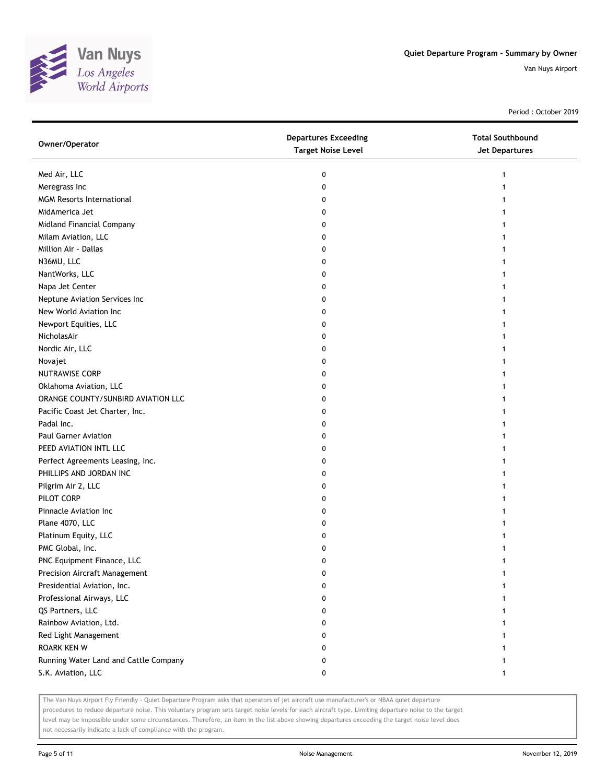

Period : October 2019

| Owner/Operator                        | <b>Departures Exceeding</b><br><b>Target Noise Level</b> | <b>Total Southbound</b><br>Jet Departures |
|---------------------------------------|----------------------------------------------------------|-------------------------------------------|
| Med Air, LLC                          | 0                                                        |                                           |
| Meregrass Inc                         | 0                                                        |                                           |
| <b>MGM Resorts International</b>      | 0                                                        |                                           |
| MidAmerica Jet                        | 0                                                        |                                           |
| Midland Financial Company             | 0                                                        |                                           |
| Milam Aviation, LLC                   | 0                                                        |                                           |
| Million Air - Dallas                  | 0                                                        |                                           |
| N36MU, LLC                            | 0                                                        |                                           |
| NantWorks, LLC                        | 0                                                        |                                           |
| Napa Jet Center                       | 0                                                        |                                           |
| Neptune Aviation Services Inc         | 0                                                        |                                           |
| New World Aviation Inc                | 0                                                        |                                           |
| Newport Equities, LLC                 | 0                                                        |                                           |
| NicholasAir                           | 0                                                        |                                           |
| Nordic Air, LLC                       | 0                                                        |                                           |
| Novajet                               | 0                                                        |                                           |
| <b>NUTRAWISE CORP</b>                 | 0                                                        |                                           |
| Oklahoma Aviation, LLC                | 0                                                        |                                           |
| ORANGE COUNTY/SUNBIRD AVIATION LLC    | 0                                                        |                                           |
| Pacific Coast Jet Charter, Inc.       | 0                                                        |                                           |
| Padal Inc.                            | 0                                                        |                                           |
| <b>Paul Garner Aviation</b>           | 0                                                        |                                           |
| PEED AVIATION INTL LLC                | 0                                                        |                                           |
| Perfect Agreements Leasing, Inc.      | 0                                                        |                                           |
| PHILLIPS AND JORDAN INC               | 0                                                        |                                           |
| Pilgrim Air 2, LLC                    | 0                                                        |                                           |
| PILOT CORP                            | 0                                                        |                                           |
| Pinnacle Aviation Inc                 | 0                                                        |                                           |
| Plane 4070, LLC                       | 0                                                        |                                           |
| Platinum Equity, LLC                  | 0                                                        |                                           |
| PMC Global, Inc.                      | 0                                                        |                                           |
| PNC Equipment Finance, LLC            | 0                                                        |                                           |
| <b>Precision Aircraft Management</b>  | 0                                                        |                                           |
| Presidential Aviation, Inc.           | 0                                                        |                                           |
| Professional Airways, LLC             | 0                                                        |                                           |
| QS Partners, LLC                      | 0                                                        |                                           |
| Rainbow Aviation, Ltd.                | 0                                                        |                                           |
| Red Light Management                  | 0                                                        |                                           |
| <b>ROARK KEN W</b>                    | 0                                                        |                                           |
| Running Water Land and Cattle Company | 0                                                        |                                           |
| S.K. Aviation, LLC                    | 0                                                        | $\mathbf{1}$                              |

The Van Nuys Airport Fly Friendly - Quiet Departure Program asks that operators of jet aircraft use manufacturer's or NBAA quiet departure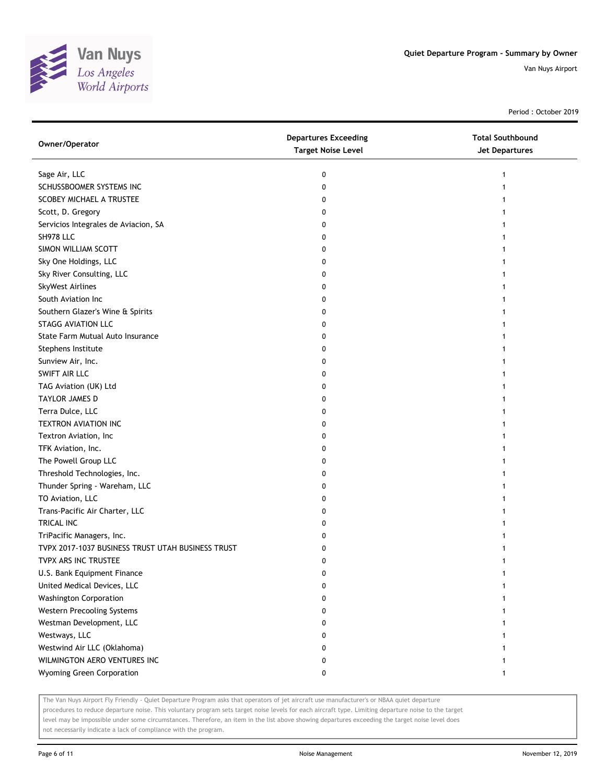

Period : October 2019

| Owner/Operator                                    | <b>Departures Exceeding</b><br><b>Target Noise Level</b> | <b>Total Southbound</b><br>Jet Departures |
|---------------------------------------------------|----------------------------------------------------------|-------------------------------------------|
| Sage Air, LLC                                     | 0                                                        |                                           |
| SCHUSSBOOMER SYSTEMS INC                          | 0                                                        |                                           |
| SCOBEY MICHAEL A TRUSTEE                          | 0                                                        |                                           |
| Scott, D. Gregory                                 | 0                                                        |                                           |
| Servicios Integrales de Aviacion, SA              | 0                                                        |                                           |
| SH978 LLC                                         | 0                                                        |                                           |
| SIMON WILLIAM SCOTT                               | 0                                                        |                                           |
| Sky One Holdings, LLC                             | 0                                                        |                                           |
| Sky River Consulting, LLC                         | 0                                                        |                                           |
| SkyWest Airlines                                  | 0                                                        |                                           |
| South Aviation Inc                                | 0                                                        |                                           |
| Southern Glazer's Wine & Spirits                  | 0                                                        |                                           |
| <b>STAGG AVIATION LLC</b>                         | 0                                                        |                                           |
| State Farm Mutual Auto Insurance                  | 0                                                        |                                           |
| Stephens Institute                                | 0                                                        |                                           |
| Sunview Air, Inc.                                 | 0                                                        |                                           |
| SWIFT AIR LLC                                     | 0                                                        |                                           |
| TAG Aviation (UK) Ltd                             | 0                                                        |                                           |
| TAYLOR JAMES D                                    | 0                                                        |                                           |
| Terra Dulce, LLC                                  | 0                                                        |                                           |
| TEXTRON AVIATION INC                              | 0                                                        |                                           |
| Textron Aviation, Inc                             | 0                                                        |                                           |
| TFK Aviation, Inc.                                | 0                                                        |                                           |
| The Powell Group LLC                              | 0                                                        |                                           |
| Threshold Technologies, Inc.                      | 0                                                        |                                           |
| Thunder Spring - Wareham, LLC                     | 0                                                        |                                           |
| TO Aviation, LLC                                  | 0                                                        |                                           |
| Trans-Pacific Air Charter, LLC                    | 0                                                        |                                           |
| TRICAL INC                                        | 0                                                        |                                           |
| TriPacific Managers, Inc.                         | 0                                                        |                                           |
| TVPX 2017-1037 BUSINESS TRUST UTAH BUSINESS TRUST | 0                                                        |                                           |
| TVPX ARS INC TRUSTEE                              | 0                                                        |                                           |
| U.S. Bank Equipment Finance                       | 0                                                        |                                           |
| United Medical Devices, LLC                       | 0                                                        |                                           |
| <b>Washington Corporation</b>                     | 0                                                        |                                           |
| Western Precooling Systems                        | 0                                                        |                                           |
| Westman Development, LLC                          | 0                                                        |                                           |
| Westways, LLC                                     | 0                                                        |                                           |
| Westwind Air LLC (Oklahoma)                       | 0                                                        |                                           |
| WILMINGTON AERO VENTURES INC                      | 0                                                        |                                           |
| Wyoming Green Corporation                         | 0                                                        |                                           |

The Van Nuys Airport Fly Friendly - Quiet Departure Program asks that operators of jet aircraft use manufacturer's or NBAA quiet departure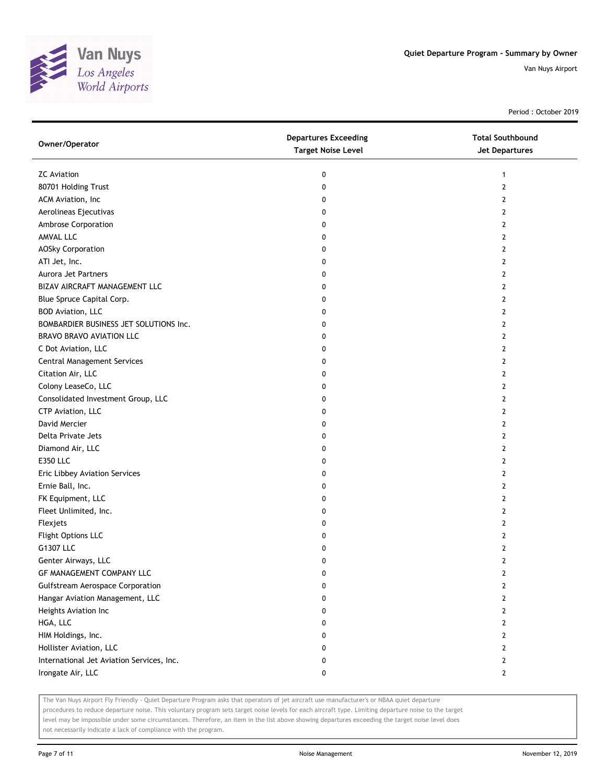

Period : October 2019

| Owner/Operator                            | <b>Departures Exceeding</b><br><b>Target Noise Level</b> | <b>Total Southbound</b><br>Jet Departures |
|-------------------------------------------|----------------------------------------------------------|-------------------------------------------|
| <b>ZC</b> Aviation                        | 0                                                        | $\mathbf{1}$                              |
| 80701 Holding Trust                       | 0                                                        | $\mathbf{2}$                              |
| ACM Aviation, Inc                         | 0                                                        | 2                                         |
| Aerolineas Ejecutivas                     | 0                                                        | 2                                         |
| Ambrose Corporation                       | 0                                                        | $\mathbf{2}$                              |
| AMVAL LLC                                 | 0                                                        | 2                                         |
| <b>AOSky Corporation</b>                  | 0                                                        | 2                                         |
| ATI Jet, Inc.                             | 0                                                        | 2                                         |
| Aurora Jet Partners                       | 0                                                        | 2                                         |
| BIZAV AIRCRAFT MANAGEMENT LLC             | 0                                                        | $\overline{2}$                            |
| Blue Spruce Capital Corp.                 | 0                                                        | $\mathbf{2}$                              |
| <b>BOD Aviation, LLC</b>                  | 0                                                        | 2                                         |
| BOMBARDIER BUSINESS JET SOLUTIONS Inc.    | 0                                                        | 2                                         |
| <b>BRAVO BRAVO AVIATION LLC</b>           | 0                                                        | 2                                         |
| C Dot Aviation, LLC                       | 0                                                        | $\overline{2}$                            |
| Central Management Services               | 0                                                        | $\mathbf{2}$                              |
| Citation Air, LLC                         | 0                                                        | 2                                         |
| Colony LeaseCo, LLC                       | 0                                                        | 2                                         |
| Consolidated Investment Group, LLC        | 0                                                        | 2                                         |
| CTP Aviation, LLC                         | 0                                                        | $\mathbf{2}$                              |
| David Mercier                             | 0                                                        | $\mathbf{2}$                              |
| Delta Private Jets                        | 0                                                        | 2                                         |
| Diamond Air, LLC                          | 0                                                        | 2                                         |
| <b>E350 LLC</b>                           | 0                                                        | 2                                         |
| Eric Libbey Aviation Services             | 0                                                        | $\overline{2}$                            |
| Ernie Ball, Inc.                          | 0                                                        | 2                                         |
| FK Equipment, LLC                         | 0                                                        | 2                                         |
| Fleet Unlimited, Inc.                     | 0                                                        | 2                                         |
| Flexjets                                  | 0                                                        | 2                                         |
| Flight Options LLC                        | 0                                                        | $\overline{2}$                            |
| G1307 LLC                                 | 0                                                        | $\overline{2}$                            |
| Genter Airways, LLC                       | 0                                                        | $\overline{2}$                            |
| GF MANAGEMENT COMPANY LLC                 | 0                                                        | 2                                         |
| <b>Gulfstream Aerospace Corporation</b>   | 0                                                        | 2                                         |
| Hangar Aviation Management, LLC           | 0                                                        | $\mathbf{2}$                              |
| Heights Aviation Inc                      | 0                                                        | $\mathbf{2}$                              |
| HGA, LLC                                  | 0                                                        | $\mathbf{2}$                              |
| HIM Holdings, Inc.                        | 0                                                        | $\mathbf{2}$                              |
| Hollister Aviation, LLC                   | 0                                                        | $\mathbf{2}$                              |
| International Jet Aviation Services, Inc. | 0                                                        | $\mathbf{2}$                              |
| Irongate Air, LLC                         | 0                                                        | $\mathbf{2}$                              |

The Van Nuys Airport Fly Friendly - Quiet Departure Program asks that operators of jet aircraft use manufacturer's or NBAA quiet departure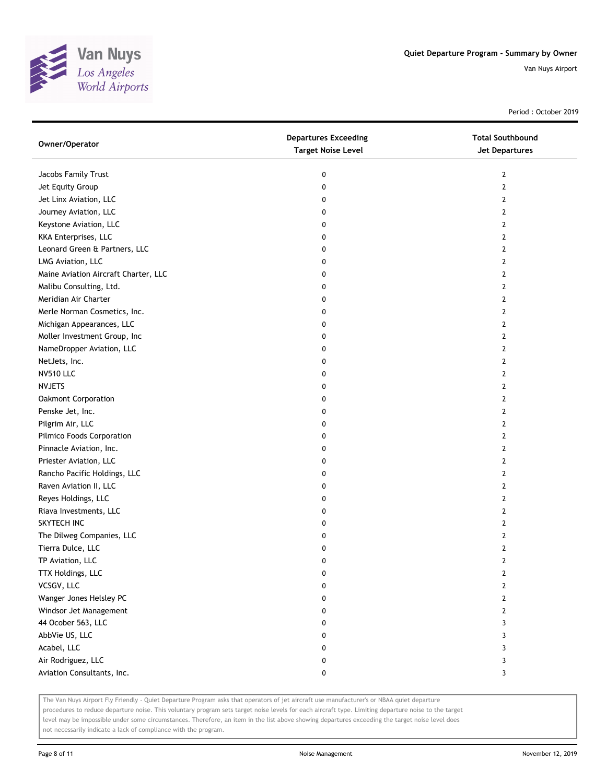

Period : October 2019

| Owner/Operator                       | <b>Departures Exceeding</b><br><b>Target Noise Level</b> | <b>Total Southbound</b><br><b>Jet Departures</b> |
|--------------------------------------|----------------------------------------------------------|--------------------------------------------------|
| Jacobs Family Trust                  | 0                                                        | $\overline{2}$                                   |
| Jet Equity Group                     | 0                                                        | $\mathbf{2}$                                     |
| Jet Linx Aviation, LLC               | 0                                                        | 2                                                |
| Journey Aviation, LLC                | 0                                                        | 2                                                |
| Keystone Aviation, LLC               | 0                                                        | $\mathbf{2}$                                     |
| KKA Enterprises, LLC                 | 0                                                        | 2                                                |
| Leonard Green & Partners, LLC        | 0                                                        | 2                                                |
| LMG Aviation, LLC                    | 0                                                        | 2                                                |
| Maine Aviation Aircraft Charter, LLC | 0                                                        | 2                                                |
| Malibu Consulting, Ltd.              | 0                                                        | $\mathbf{2}$                                     |
| Meridian Air Charter                 | 0                                                        | $\mathbf{2}$                                     |
| Merle Norman Cosmetics, Inc.         | 0                                                        | $\mathbf{2}$                                     |
| Michigan Appearances, LLC            | 0                                                        | 2                                                |
| Moller Investment Group, Inc         | 0                                                        | 2                                                |
| NameDropper Aviation, LLC            | 0                                                        | 2                                                |
| NetJets, Inc.                        | 0                                                        | 2                                                |
| <b>NV510 LLC</b>                     | 0                                                        | 2                                                |
| <b>NVJETS</b>                        | 0                                                        | 2                                                |
| <b>Oakmont Corporation</b>           | 0                                                        | $\overline{2}$                                   |
| Penske Jet, Inc.                     | 0                                                        | $\overline{2}$                                   |
| Pilgrim Air, LLC                     | 0                                                        | $\overline{2}$                                   |
| Pilmico Foods Corporation            | 0                                                        | $\overline{2}$                                   |
| Pinnacle Aviation, Inc.              | 0                                                        | $\overline{2}$                                   |
| Priester Aviation, LLC               | 0                                                        | 2                                                |
| Rancho Pacific Holdings, LLC         | 0                                                        | $\mathbf{2}$                                     |
| Raven Aviation II, LLC               | 0                                                        | 2                                                |
| Reyes Holdings, LLC                  | 0                                                        | 2                                                |
| Riava Investments, LLC               | 0                                                        | 2                                                |
| SKYTECH INC                          | 0                                                        | 2                                                |
| The Dilweg Companies, LLC            | 0                                                        | $\mathbf{2}$                                     |
| Tierra Dulce, LLC                    | 0                                                        | $\mathbf{2}$                                     |
| TP Aviation, LLC                     | 0                                                        | $\overline{2}$                                   |
| TTX Holdings, LLC                    | 0                                                        | 2                                                |
| VCSGV, LLC                           | 0                                                        | 2                                                |
| Wanger Jones Helsley PC              | 0                                                        | $\mathbf{2}$                                     |
| Windsor Jet Management               | 0                                                        | $\overline{2}$                                   |
| 44 Ocober 563, LLC                   | 0                                                        | 3                                                |
| AbbVie US, LLC                       | 0                                                        | 3                                                |
| Acabel, LLC                          | 0                                                        | 3                                                |
| Air Rodriguez, LLC                   | 0                                                        | 3                                                |
| Aviation Consultants, Inc.           | 0                                                        | 3                                                |

The Van Nuys Airport Fly Friendly - Quiet Departure Program asks that operators of jet aircraft use manufacturer's or NBAA quiet departure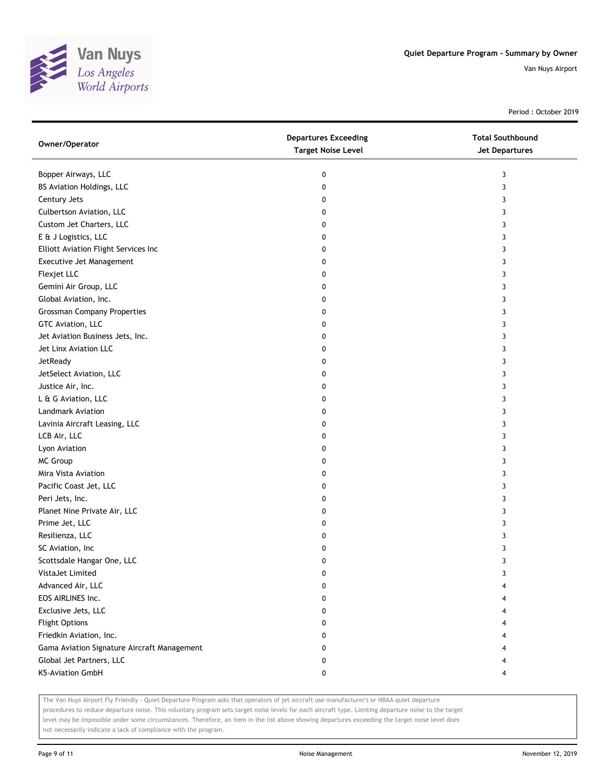

Period : October 2019

| Owner/Operator                              | <b>Departures Exceeding</b><br><b>Target Noise Level</b> | <b>Total Southbound</b><br>Jet Departures |
|---------------------------------------------|----------------------------------------------------------|-------------------------------------------|
| Bopper Airways, LLC                         | 0                                                        | 3                                         |
| BS Aviation Holdings, LLC                   | 0                                                        | 3                                         |
| Century Jets                                | 0                                                        | 3                                         |
| Culbertson Aviation, LLC                    | 0                                                        | 3                                         |
| Custom Jet Charters, LLC                    | 0                                                        | 3                                         |
| E & J Logistics, LLC                        | 0                                                        | 3                                         |
| Elliott Aviation Flight Services Inc        | 0                                                        | 3                                         |
| Executive Jet Management                    | 0                                                        | 3                                         |
| Flexjet LLC                                 | 0                                                        | 3                                         |
| Gemini Air Group, LLC                       | 0                                                        | 3                                         |
| Global Aviation, Inc.                       | 0                                                        | 3                                         |
| <b>Grossman Company Properties</b>          | 0                                                        | 3                                         |
| GTC Aviation, LLC                           | 0                                                        | 3                                         |
| Jet Aviation Business Jets, Inc.            | 0                                                        | 3                                         |
| Jet Linx Aviation LLC                       | 0                                                        | 3                                         |
| JetReady                                    | 0                                                        | 3                                         |
| JetSelect Aviation, LLC                     | 0                                                        | 3                                         |
| Justice Air, Inc.                           | 0                                                        | 3                                         |
| L & G Aviation, LLC                         | 0                                                        | 3                                         |
| Landmark Aviation                           | 0                                                        | 3                                         |
| Lavinia Aircraft Leasing, LLC               | 0                                                        | 3                                         |
| LCB Air, LLC                                | 0                                                        | 3                                         |
| Lyon Aviation                               | 0                                                        | 3                                         |
| <b>MC Group</b>                             | 0                                                        | 3                                         |
| Mira Vista Aviation                         | 0                                                        | 3                                         |
| Pacific Coast Jet, LLC                      | 0                                                        | 3                                         |
| Peri Jets, Inc.                             | 0                                                        | 3                                         |
| Planet Nine Private Air, LLC                | 0                                                        | 3                                         |
| Prime Jet, LLC                              | 0                                                        | 3                                         |
| Resilienza, LLC                             | 0                                                        | 3                                         |
| SC Aviation, Inc                            | 0                                                        | 3                                         |
| Scottsdale Hangar One, LLC                  | 0                                                        | 3                                         |
| VistaJet Limited                            | 0                                                        |                                           |
| Advanced Air, LLC                           | 0                                                        |                                           |
| EOS AIRLINES Inc.                           | 0                                                        |                                           |
| Exclusive Jets, LLC                         | 0                                                        |                                           |
| <b>Flight Options</b>                       | 0                                                        |                                           |
| Friedkin Aviation, Inc.                     | 0                                                        |                                           |
| Gama Aviation Signature Aircraft Management | 0                                                        |                                           |
| Global Jet Partners, LLC                    | 0                                                        |                                           |
| K5-Aviation GmbH                            | 0                                                        | 4                                         |

The Van Nuys Airport Fly Friendly - Quiet Departure Program asks that operators of jet aircraft use manufacturer's or NBAA quiet departure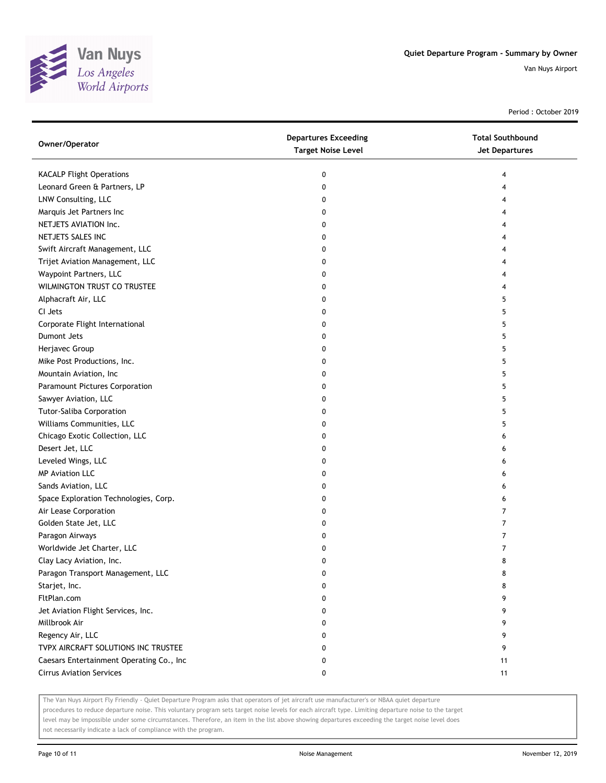

Period : October 2019

| Owner/Operator                           | <b>Departures Exceeding</b><br><b>Target Noise Level</b> | <b>Total Southbound</b><br><b>Jet Departures</b> |
|------------------------------------------|----------------------------------------------------------|--------------------------------------------------|
| <b>KACALP Flight Operations</b>          | 0                                                        | 4                                                |
| Leonard Green & Partners, LP             | 0                                                        |                                                  |
| LNW Consulting, LLC                      | 0                                                        |                                                  |
| Marquis Jet Partners Inc                 | 0                                                        |                                                  |
| NETJETS AVIATION Inc.                    | 0                                                        |                                                  |
| NETJETS SALES INC                        | 0                                                        |                                                  |
| Swift Aircraft Management, LLC           | 0                                                        |                                                  |
| Trijet Aviation Management, LLC          | 0                                                        | 4                                                |
| Waypoint Partners, LLC                   | 0                                                        | 4                                                |
| WILMINGTON TRUST CO TRUSTEE              | 0                                                        |                                                  |
| Alphacraft Air, LLC                      | 0                                                        | 5                                                |
| CI Jets                                  | 0                                                        | 5                                                |
| Corporate Flight International           | 0                                                        | 5                                                |
| Dumont Jets                              | 0                                                        | 5                                                |
| Herjavec Group                           | 0                                                        | 5                                                |
| Mike Post Productions, Inc.              | 0                                                        | 5                                                |
| Mountain Aviation, Inc                   | 0                                                        | 5                                                |
| Paramount Pictures Corporation           | 0                                                        | 5                                                |
| Sawyer Aviation, LLC                     | 0                                                        | 5                                                |
| Tutor-Saliba Corporation                 | 0                                                        | 5                                                |
| Williams Communities, LLC                | 0                                                        | 5                                                |
| Chicago Exotic Collection, LLC           | 0                                                        | 6                                                |
| Desert Jet, LLC                          | 0                                                        | 6                                                |
| Leveled Wings, LLC                       | 0                                                        | 6                                                |
| <b>MP Aviation LLC</b>                   | 0                                                        | 6                                                |
| Sands Aviation, LLC                      | 0                                                        | 6                                                |
| Space Exploration Technologies, Corp.    | 0                                                        | 6                                                |
| Air Lease Corporation                    | 0                                                        | 7                                                |
| Golden State Jet, LLC                    | 0                                                        | 7                                                |
| Paragon Airways                          | 0                                                        | 7                                                |
| Worldwide Jet Charter, LLC               | 0                                                        | 7                                                |
| Clay Lacy Aviation, Inc.                 | 0                                                        | 8                                                |
| Paragon Transport Management, LLC        | 0                                                        | 8                                                |
| Starjet, Inc.                            | 0                                                        | 8                                                |
| FltPlan.com                              | 0                                                        | 9                                                |
| Jet Aviation Flight Services, Inc.       | 0                                                        | 9                                                |
| Millbrook Air                            | 0                                                        | 9                                                |
| Regency Air, LLC                         | 0                                                        | 9                                                |
| TVPX AIRCRAFT SOLUTIONS INC TRUSTEE      | 0                                                        | 9                                                |
| Caesars Entertainment Operating Co., Inc | 0                                                        | 11                                               |
| <b>Cirrus Aviation Services</b>          | 0                                                        | 11                                               |

The Van Nuys Airport Fly Friendly - Quiet Departure Program asks that operators of jet aircraft use manufacturer's or NBAA quiet departure